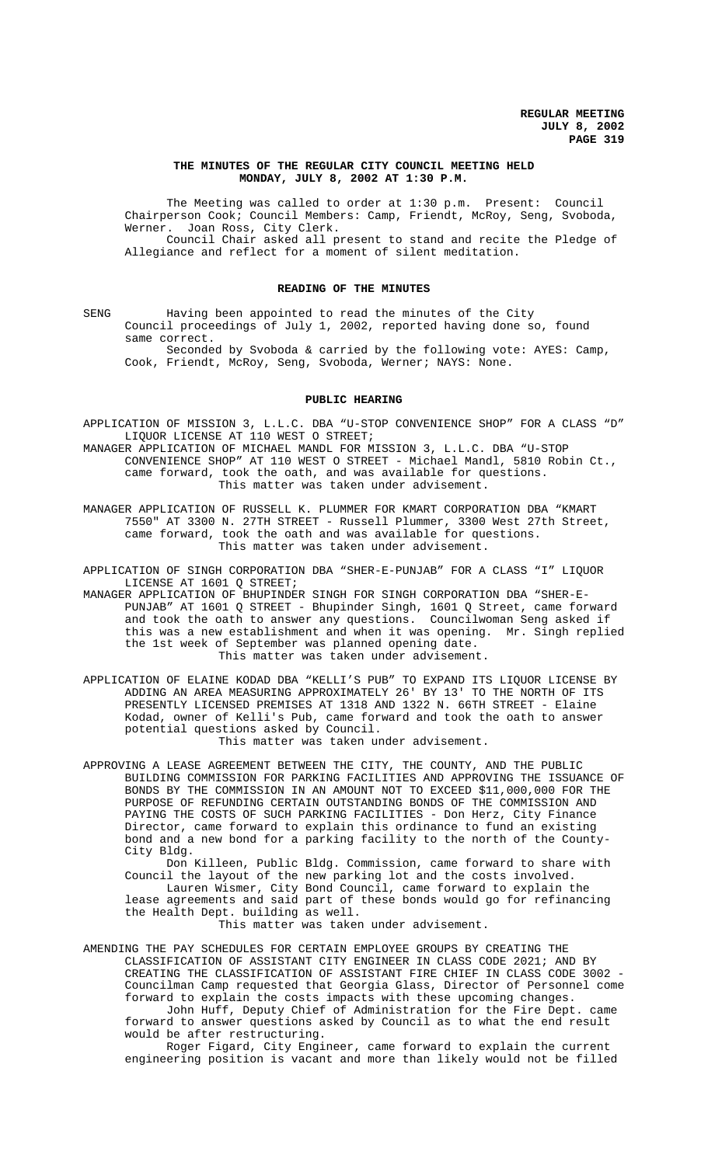## **THE MINUTES OF THE REGULAR CITY COUNCIL MEETING HELD MONDAY, JULY 8, 2002 AT 1:30 P.M.**

The Meeting was called to order at 1:30 p.m. Present: Council Chairperson Cook; Council Members: Camp, Friendt, McRoy, Seng, Svoboda, Werner. Joan Ross, City Clerk. Council Chair asked all present to stand and recite the Pledge of Allegiance and reflect for a moment of silent meditation.

### **READING OF THE MINUTES**

SENG Having been appointed to read the minutes of the City Council proceedings of July 1, 2002, reported having done so, found same correct.

Seconded by Svoboda & carried by the following vote: AYES: Camp, Cook, Friendt, McRoy, Seng, Svoboda, Werner; NAYS: None.

## **PUBLIC HEARING**

APPLICATION OF MISSION 3, L.L.C. DBA "U-STOP CONVENIENCE SHOP" FOR A CLASS "D" LIQUOR LICENSE AT 110 WEST O STREET;

MANAGER APPLICATION OF MICHAEL MANDL FOR MISSION 3, L.L.C. DBA "U-STOP CONVENIENCE SHOP" AT 110 WEST O STREET - Michael Mandl, 5810 Robin Ct., came forward, took the oath, and was available for questions. This matter was taken under advisement.

MANAGER APPLICATION OF RUSSELL K. PLUMMER FOR KMART CORPORATION DBA "KMART 7550" AT 3300 N. 27TH STREET - Russell Plummer, 3300 West 27th Street, came forward, took the oath and was available for questions. This matter was taken under advisement.

APPLICATION OF SINGH CORPORATION DBA "SHER-E-PUNJAB" FOR A CLASS "I" LIQUOR LICENSE AT 1601 Q STREET;

MANAGER APPLICATION OF BHUPINDER SINGH FOR SINGH CORPORATION DBA "SHER-E-PUNJAB" AT 1601 Q STREET - Bhupinder Singh, 1601 Q Street, came forward and took the oath to answer any questions. Councilwoman Seng asked if this was a new establishment and when it was opening. Mr. Singh replied the 1st week of September was planned opening date. This matter was taken under advisement.

APPLICATION OF ELAINE KODAD DBA "KELLI'S PUB" TO EXPAND ITS LIQUOR LICENSE BY ADDING AN AREA MEASURING APPROXIMATELY 26' BY 13' TO THE NORTH OF ITS PRESENTLY LICENSED PREMISES AT 1318 AND 1322 N. 66TH STREET - Elaine Kodad, owner of Kelli's Pub, came forward and took the oath to answer potential questions asked by Council.

This matter was taken under advisement.

APPROVING A LEASE AGREEMENT BETWEEN THE CITY, THE COUNTY, AND THE PUBLIC BUILDING COMMISSION FOR PARKING FACILITIES AND APPROVING THE ISSUANCE OF BONDS BY THE COMMISSION IN AN AMOUNT NOT TO EXCEED \$11,000,000 FOR THE PURPOSE OF REFUNDING CERTAIN OUTSTANDING BONDS OF THE COMMISSION AND PAYING THE COSTS OF SUCH PARKING FACILITIES - Don Herz, City Finance Director, came forward to explain this ordinance to fund an existing bond and a new bond for a parking facility to the north of the County-City Bldg.

Don Killeen, Public Bldg. Commission, came forward to share with Council the layout of the new parking lot and the costs involved. Lauren Wismer, City Bond Council, came forward to explain the lease agreements and said part of these bonds would go for refinancing the Health Dept. building as well. This matter was taken under advisement.

AMENDING THE PAY SCHEDULES FOR CERTAIN EMPLOYEE GROUPS BY CREATING THE CLASSIFICATION OF ASSISTANT CITY ENGINEER IN CLASS CODE 2021; AND BY CREATING THE CLASSIFICATION OF ASSISTANT FIRE CHIEF IN CLASS CODE 3002 - Councilman Camp requested that Georgia Glass, Director of Personnel come forward to explain the costs impacts with these upcoming changes.

John Huff, Deputy Chief of Administration for the Fire Dept. came forward to answer questions asked by Council as to what the end result would be after restructuring.

Roger Figard, City Engineer, came forward to explain the current engineering position is vacant and more than likely would not be filled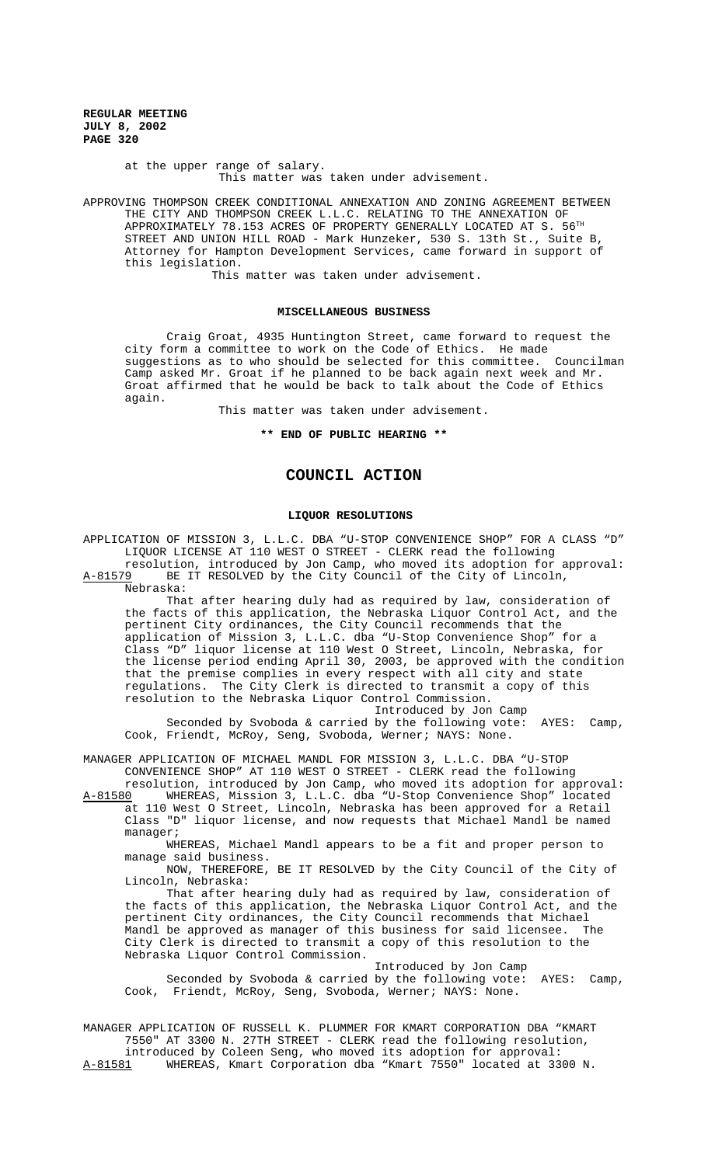> at the upper range of salary. This matter was taken under advisement.

APPROVING THOMPSON CREEK CONDITIONAL ANNEXATION AND ZONING AGREEMENT BETWEEN THE CITY AND THOMPSON CREEK L.L.C. RELATING TO THE ANNEXATION OF APPROXIMATELY 78.153 ACRES OF PROPERTY GENERALLY LOCATED AT S.  $56^{TH}$ STREET AND UNION HILL ROAD - Mark Hunzeker, 530 S. 13th St., Suite B, Attorney for Hampton Development Services, came forward in support of this legislation.

This matter was taken under advisement.

#### **MISCELLANEOUS BUSINESS**

Craig Groat, 4935 Huntington Street, came forward to request the city form a committee to work on the Code of Ethics. He made suggestions as to who should be selected for this committee. Councilman Camp asked Mr. Groat if he planned to be back again next week and Mr. Groat affirmed that he would be back to talk about the Code of Ethics again.

This matter was taken under advisement.

**\*\* END OF PUBLIC HEARING \*\***

## **COUNCIL ACTION**

### **LIQUOR RESOLUTIONS**

APPLICATION OF MISSION 3, L.L.C. DBA "U-STOP CONVENIENCE SHOP" FOR A CLASS "D" LIQUOR LICENSE AT 110 WEST O STREET - CLERK read the following resolution, introduced by Jon Camp, who moved its adoption for approval:

A-81579 BE IT RESOLVED by the City Council of the City of Lincoln, Nebraska:

That after hearing duly had as required by law, consideration of the facts of this application, the Nebraska Liquor Control Act, and the pertinent City ordinances, the City Council recommends that the application of Mission 3, L.L.C. dba "U-Stop Convenience Shop" for a Class "D" liquor license at 110 West O Street, Lincoln, Nebraska, for the license period ending April 30, 2003, be approved with the condition that the premise complies in every respect with all city and state regulations. The City Clerk is directed to transmit a copy of this resolution to the Nebraska Liquor Control Commission.

Introduced by Jon Camp Seconded by Svoboda & carried by the following vote: AYES: Camp, Cook, Friendt, McRoy, Seng, Svoboda, Werner; NAYS: None.

MANAGER APPLICATION OF MICHAEL MANDL FOR MISSION 3, L.L.C. DBA "U-STOP CONVENIENCE SHOP" AT 110 WEST O STREET - CLERK read the following

resolution, introduced by Jon Camp, who moved its adoption for approval: A-81580 WHEREAS, Mission 3, L.L.C. dba "U-Stop Convenience Shop" located at 110 West O Street, Lincoln, Nebraska has been approved for a Retail Class "D" liquor license, and now requests that Michael Mandl be named manager;

WHEREAS, Michael Mandl appears to be a fit and proper person to manage said business.

NOW, THEREFORE, BE IT RESOLVED by the City Council of the City of Lincoln, Nebraska:

That after hearing duly had as required by law, consideration of the facts of this application, the Nebraska Liquor Control Act, and the pertinent City ordinances, the City Council recommends that Michael Mandl be approved as manager of this business for said licensee. The City Clerk is directed to transmit a copy of this resolution to the Nebraska Liquor Control Commission.

Introduced by Jon Camp Seconded by Svoboda & carried by the following vote: AYES: Camp, Cook, Friendt, McRoy, Seng, Svoboda, Werner; NAYS: None.

MANAGER APPLICATION OF RUSSELL K. PLUMMER FOR KMART CORPORATION DBA "KMART 7550" AT 3300 N. 27TH STREET - CLERK read the following resolution, introduced by Coleen Seng, who moved its adoption for approval:<br>A-81581 WHEREAS, Kmart Corporation dba "Kmart 7550" located at 33 WHEREAS, Kmart Corporation dba "Kmart 7550" located at 3300 N.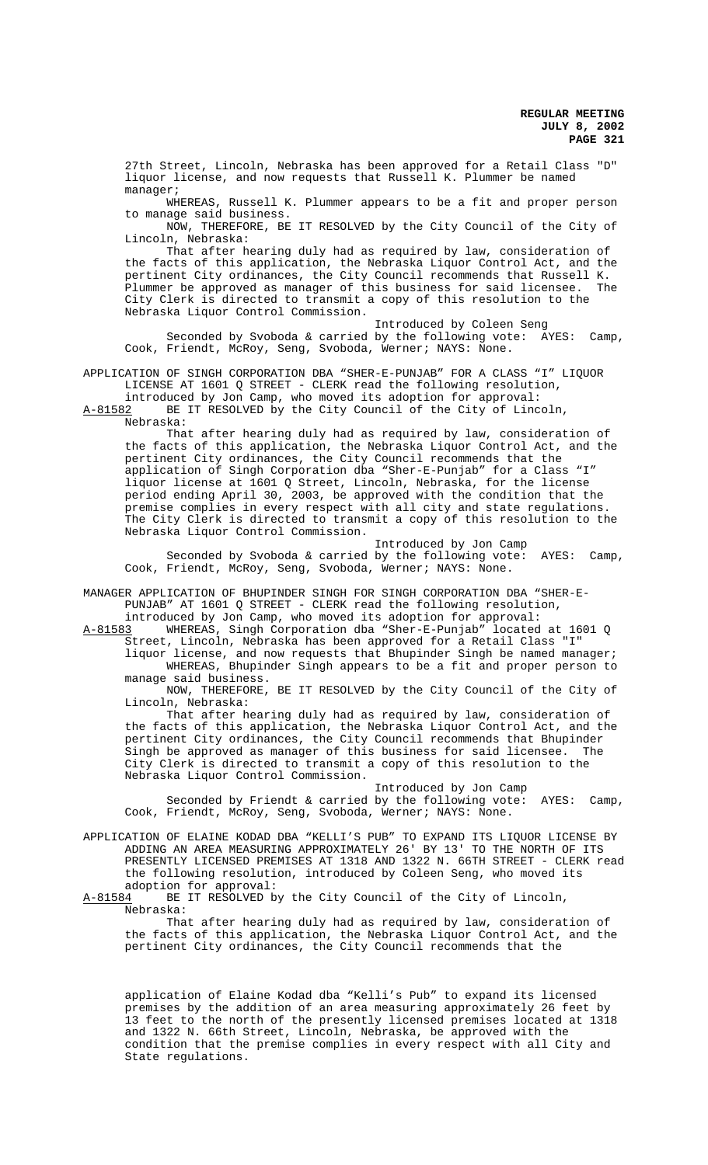27th Street, Lincoln, Nebraska has been approved for a Retail Class "D" liquor license, and now requests that Russell K. Plummer be named manager;

WHEREAS, Russell K. Plummer appears to be a fit and proper person to manage said business.

NOW, THEREFORE, BE IT RESOLVED by the City Council of the City of Lincoln, Nebraska:

That after hearing duly had as required by law, consideration of the facts of this application, the Nebraska Liquor Control Act, and the pertinent City ordinances, the City Council recommends that Russell K. .<br>Plummer be approved as manager of this business for said licensee. City Clerk is directed to transmit a copy of this resolution to the Nebraska Liquor Control Commission.

Introduced by Coleen Seng Seconded by Svoboda & carried by the following vote: AYES: Camp, Cook, Friendt, McRoy, Seng, Svoboda, Werner; NAYS: None.

APPLICATION OF SINGH CORPORATION DBA "SHER-E-PUNJAB" FOR A CLASS "I" LIQUOR LICENSE AT 1601 Q STREET - CLERK read the following resolution,

introduced by Jon Camp, who moved its adoption for approval: A-81582 BE IT RESOLVED by the City Council of the City of Lincoln, Nebraska:

That after hearing duly had as required by law, consideration of the facts of this application, the Nebraska Liquor Control Act, and the pertinent City ordinances, the City Council recommends that the application of Singh Corporation dba "Sher-E-Punjab" for a Class "I" liquor license at 1601 Q Street, Lincoln, Nebraska, for the license period ending April 30, 2003, be approved with the condition that the premise complies in every respect with all city and state regulations. The City Clerk is directed to transmit a copy of this resolution to the Nebraska Liquor Control Commission.

Introduced by Jon Camp Seconded by Svoboda & carried by the following vote: AYES: Camp, Cook, Friendt, McRoy, Seng, Svoboda, Werner; NAYS: None.

MANAGER APPLICATION OF BHUPINDER SINGH FOR SINGH CORPORATION DBA "SHER-E-PUNJAB" AT 1601 Q STREET - CLERK read the following resolution,

introduced by Jon Camp, who moved its adoption for approval:<br>A-81583 WHEREAS, Singh Corporation dba "Sher-E-Punjab" located WHEREAS, Singh Corporation dba "Sher-E-Punjab" located at 1601 Q Street, Lincoln, Nebraska has been approved for a Retail Class "I"

liquor license, and now requests that Bhupinder Singh be named manager; WHEREAS, Bhupinder Singh appears to be a fit and proper person to manage said business.

NOW, THEREFORE, BE IT RESOLVED by the City Council of the City of Lincoln, Nebraska:

That after hearing duly had as required by law, consideration of the facts of this application, the Nebraska Liquor Control Act, and the pertinent City ordinances, the City Council recommends that Bhupinder Singh be approved as manager of this business for said licensee. The City Clerk is directed to transmit a copy of this resolution to the Nebraska Liquor Control Commission.

Introduced by Jon Camp Seconded by Friendt & carried by the following vote: AYES: Camp, Cook, Friendt, McRoy, Seng, Svoboda, Werner; NAYS: None.

APPLICATION OF ELAINE KODAD DBA "KELLI'S PUB" TO EXPAND ITS LIQUOR LICENSE BY ADDING AN AREA MEASURING APPROXIMATELY 26' BY 13' TO THE NORTH OF ITS PRESENTLY LICENSED PREMISES AT 1318 AND 1322 N. 66TH STREET - CLERK read the following resolution, introduced by Coleen Seng, who moved its adoption for approval:<br>A-81584 BE IT RESOLVED by

BE IT RESOLVED by the City Council of the City of Lincoln, Nebraska:

That after hearing duly had as required by law, consideration of the facts of this application, the Nebraska Liquor Control Act, and the pertinent City ordinances, the City Council recommends that the

application of Elaine Kodad dba "Kelli's Pub" to expand its licensed premises by the addition of an area measuring approximately 26 feet by 13 feet to the north of the presently licensed premises located at 1318 and 1322 N. 66th Street, Lincoln, Nebraska, be approved with the condition that the premise complies in every respect with all City and State regulations.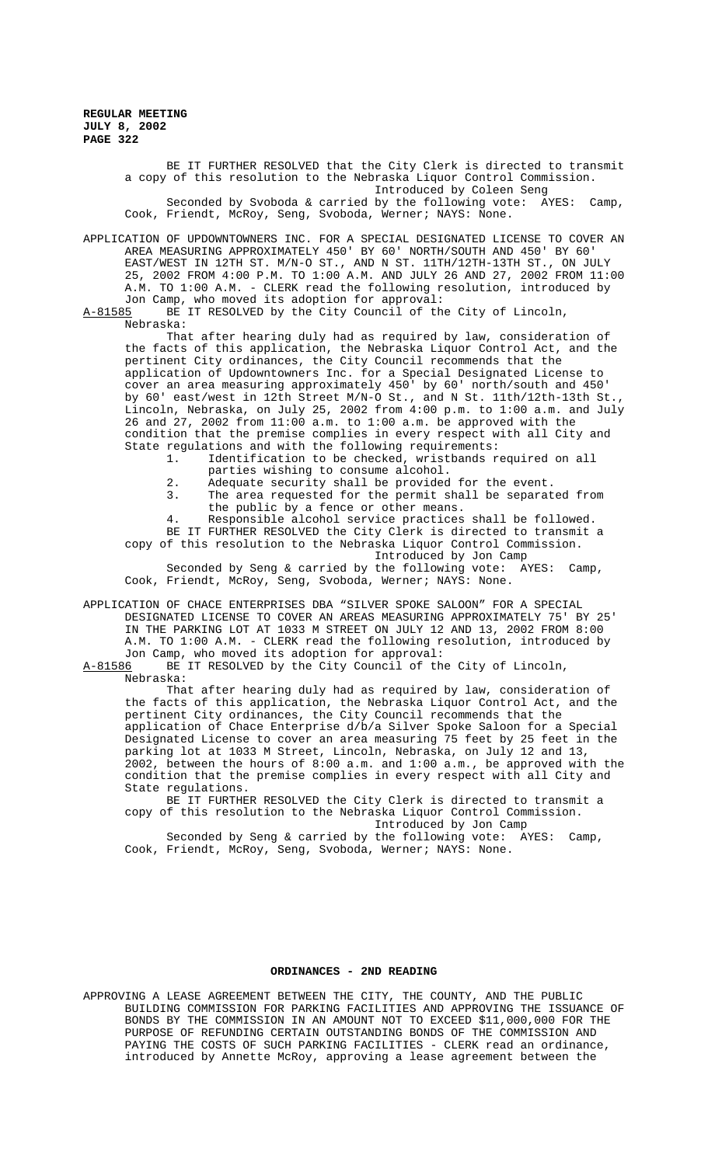> BE IT FURTHER RESOLVED that the City Clerk is directed to transmit a copy of this resolution to the Nebraska Liquor Control Commission. Introduced by Coleen Seng Seconded by Svoboda & carried by the following vote: AYES: Camp, Cook, Friendt, McRoy, Seng, Svoboda, Werner; NAYS: None.

APPLICATION OF UPDOWNTOWNERS INC. FOR A SPECIAL DESIGNATED LICENSE TO COVER AN AREA MEASURING APPROXIMATELY 450' BY 60' NORTH/SOUTH AND 450' BY 60' EAST/WEST IN 12TH ST. M/N-O ST., AND N ST. 11TH/12TH-13TH ST., ON JULY 25, 2002 FROM 4:00 P.M. TO 1:00 A.M. AND JULY 26 AND 27, 2002 FROM 11:00 A.M. TO 1:00 A.M. - CLERK read the following resolution, introduced by Jon Camp, who moved its adoption for approval:<br>A-81585 BE IT RESOLVED by the City Council of the

BE IT RESOLVED by the City Council of the City of Lincoln, Nebraska:

That after hearing duly had as required by law, consideration of the facts of this application, the Nebraska Liquor Control Act, and the pertinent City ordinances, the City Council recommends that the application of Updowntowners Inc. for a Special Designated License to cover an area measuring approximately 450' by 60' north/south and 450' by 60' east/west in 12th Street M/N-O St., and N St. 11th/12th-13th St., Lincoln, Nebraska, on July 25, 2002 from 4:00 p.m. to 1:00 a.m. and July 26 and 27, 2002 from 11:00 a.m. to 1:00 a.m. be approved with the condition that the premise complies in every respect with all City and State regulations and with the following requirements:

- 1. Identification to be checked, wristbands required on all parties wishing to consume alcohol.
- 2. Adequate security shall be provided for the event.
- 3. The area requested for the permit shall be separated from the public by a fence or other means.
- 4. Responsible alcohol service practices shall be followed. BE IT FURTHER RESOLVED the City Clerk is directed to transmit a

copy of this resolution to the Nebraska Liquor Control Commission. Introduced by Jon Camp

Seconded by Seng & carried by the following vote: AYES: Camp, Cook, Friendt, McRoy, Seng, Svoboda, Werner; NAYS: None.

APPLICATION OF CHACE ENTERPRISES DBA "SILVER SPOKE SALOON" FOR A SPECIAL DESIGNATED LICENSE TO COVER AN AREAS MEASURING APPROXIMATELY 75' BY 25' IN THE PARKING LOT AT 1033 M STREET ON JULY 12 AND 13, 2002 FROM 8:00 A.M. TO 1:00 A.M. - CLERK read the following resolution, introduced by Jon Camp, who moved its adoption for approval:

A-81586 BE IT RESOLVED by the City Council of the City of Lincoln,

Nebraska:

That after hearing duly had as required by law, consideration of the facts of this application, the Nebraska Liquor Control Act, and the pertinent City ordinances, the City Council recommends that the application of Chace Enterprise d/b/a Silver Spoke Saloon for a Special Designated License to cover an area measuring 75 feet by 25 feet in the parking lot at 1033 M Street, Lincoln, Nebraska, on July 12 and 13, 2002, between the hours of 8:00 a.m. and 1:00 a.m., be approved with the condition that the premise complies in every respect with all City and State regulations.

BE IT FURTHER RESOLVED the City Clerk is directed to transmit a copy of this resolution to the Nebraska Liquor Control Commission. Introduced by Jon Camp

Seconded by Seng & carried by the following vote: AYES: Camp, Cook, Friendt, McRoy, Seng, Svoboda, Werner; NAYS: None.

## **ORDINANCES - 2ND READING**

APPROVING A LEASE AGREEMENT BETWEEN THE CITY, THE COUNTY, AND THE PUBLIC BUILDING COMMISSION FOR PARKING FACILITIES AND APPROVING THE ISSUANCE OF BONDS BY THE COMMISSION IN AN AMOUNT NOT TO EXCEED \$11,000,000 FOR THE PURPOSE OF REFUNDING CERTAIN OUTSTANDING BONDS OF THE COMMISSION AND PAYING THE COSTS OF SUCH PARKING FACILITIES - CLERK read an ordinance, introduced by Annette McRoy, approving a lease agreement between the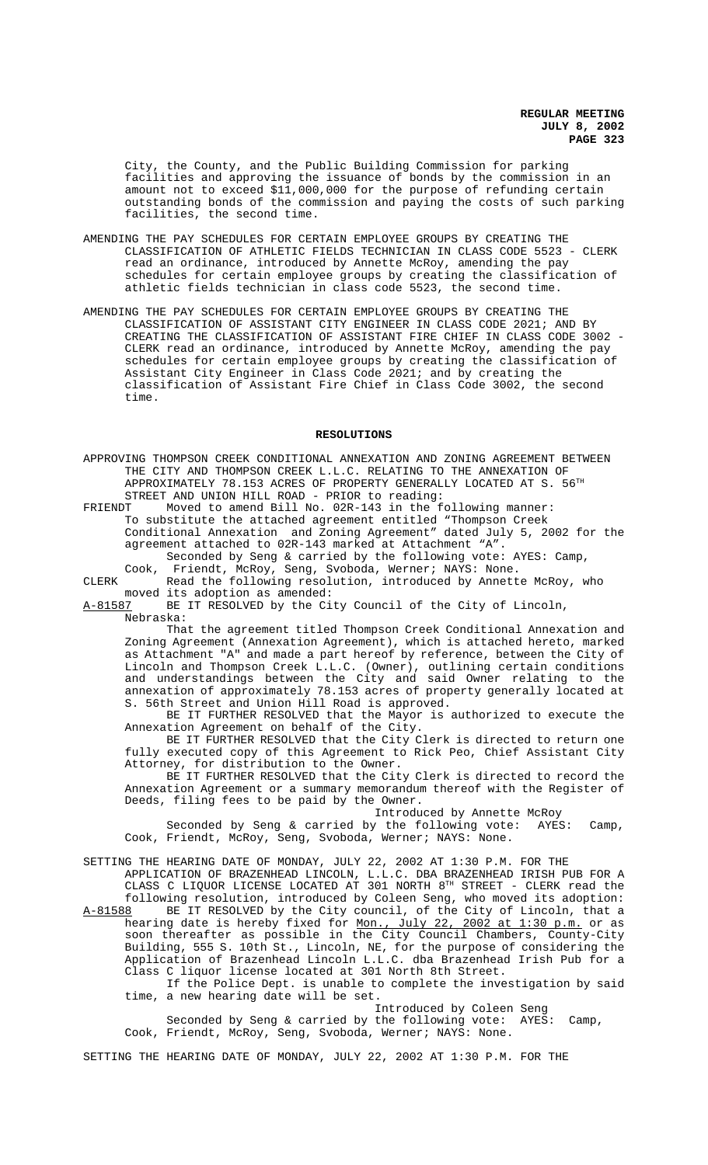City, the County, and the Public Building Commission for parking facilities and approving the issuance of bonds by the commission in an amount not to exceed \$11,000,000 for the purpose of refunding certain outstanding bonds of the commission and paying the costs of such parking facilities, the second time.

- AMENDING THE PAY SCHEDULES FOR CERTAIN EMPLOYEE GROUPS BY CREATING THE CLASSIFICATION OF ATHLETIC FIELDS TECHNICIAN IN CLASS CODE 5523 - CLERK read an ordinance, introduced by Annette McRoy, amending the pay schedules for certain employee groups by creating the classification of athletic fields technician in class code 5523, the second time.
- AMENDING THE PAY SCHEDULES FOR CERTAIN EMPLOYEE GROUPS BY CREATING THE CLASSIFICATION OF ASSISTANT CITY ENGINEER IN CLASS CODE 2021; AND BY CREATING THE CLASSIFICATION OF ASSISTANT FIRE CHIEF IN CLASS CODE 3002 - CLERK read an ordinance, introduced by Annette McRoy, amending the pay schedules for certain employee groups by creating the classification of Assistant City Engineer in Class Code 2021; and by creating the classification of Assistant Fire Chief in Class Code 3002, the second time.

#### **RESOLUTIONS**

APPROVING THOMPSON CREEK CONDITIONAL ANNEXATION AND ZONING AGREEMENT BETWEEN THE CITY AND THOMPSON CREEK L.L.C. RELATING TO THE ANNEXATION OF APPROXIMATELY 78.153 ACRES OF PROPERTY GENERALLY LOCATED AT S.  $56<sup>TH</sup>$ 

STREET AND UNION HILL ROAD - PRIOR to reading:<br>FRIENDT Moved to amend Bill No. 02R-143 in the f Moved to amend Bill No. 02R-143 in the following manner: To substitute the attached agreement entitled "Thompson Creek Conditional Annexation and Zoning Agreement" dated July 5, 2002 for the agreement attached to 02R-143 marked at Attachment "A".

Seconded by Seng & carried by the following vote: AYES: Camp, Cook, Friendt, McRoy, Seng, Svoboda, Werner; NAYS: None.

CLERK Read the following resolution, introduced by Annette McRoy, who moved its adoption as amended:<br>A-81587 BE IT RESOLVED by the Ci

BE IT RESOLVED by the City Council of the City of Lincoln, Nebraska:

That the agreement titled Thompson Creek Conditional Annexation and Zoning Agreement (Annexation Agreement), which is attached hereto, marked as Attachment "A" and made a part hereof by reference, between the City of Lincoln and Thompson Creek L.L.C. (Owner), outlining certain conditions and understandings between the City and said Owner relating to the annexation of approximately 78.153 acres of property generally located at S. 56th Street and Union Hill Road is approved.

BE IT FURTHER RESOLVED that the Mayor is authorized to execute the Annexation Agreement on behalf of the City.

BE IT FURTHER RESOLVED that the City Clerk is directed to return one fully executed copy of this Agreement to Rick Peo, Chief Assistant City Attorney, for distribution to the Owner.

BE IT FURTHER RESOLVED that the City Clerk is directed to record the Annexation Agreement or a summary memorandum thereof with the Register of Deeds, filing fees to be paid by the Owner.

Introduced by Annette McRoy<br>y the following vote: AYES:

Seconded by Seng & carried by the following vote: AYES: Camp, Cook, Friendt, McRoy, Seng, Svoboda, Werner; NAYS: None.

SETTING THE HEARING DATE OF MONDAY, JULY 22, 2002 AT 1:30 P.M. FOR THE APPLICATION OF BRAZENHEAD LINCOLN, L.L.C. DBA BRAZENHEAD IRISH PUB FOR A CLASS C LIQUOR LICENSE LOCATED AT 301 NORTH 8TH STREET - CLERK read the following resolution, introduced by Coleen Seng, who moved its adoption:

A-81588 BE IT RESOLVED by the City council, of the City of Lincoln, that a hearing date is hereby fixed for Mon., July 22, 2002 at 1:30 p.m. or as soon thereafter as possible in the City Council Chambers, County-City Building, 555 S. 10th St., Lincoln, NE, for the purpose of considering the Application of Brazenhead Lincoln L.L.C. dba Brazenhead Irish Pub for a Class C liquor license located at 301 North 8th Street.

If the Police Dept. is unable to complete the investigation by said time, a new hearing date will be set.

Introduced by Coleen Seng

Seconded by Seng & carried by the following vote: AYES: Camp, Cook, Friendt, McRoy, Seng, Svoboda, Werner; NAYS: None.

SETTING THE HEARING DATE OF MONDAY, JULY 22, 2002 AT 1:30 P.M. FOR THE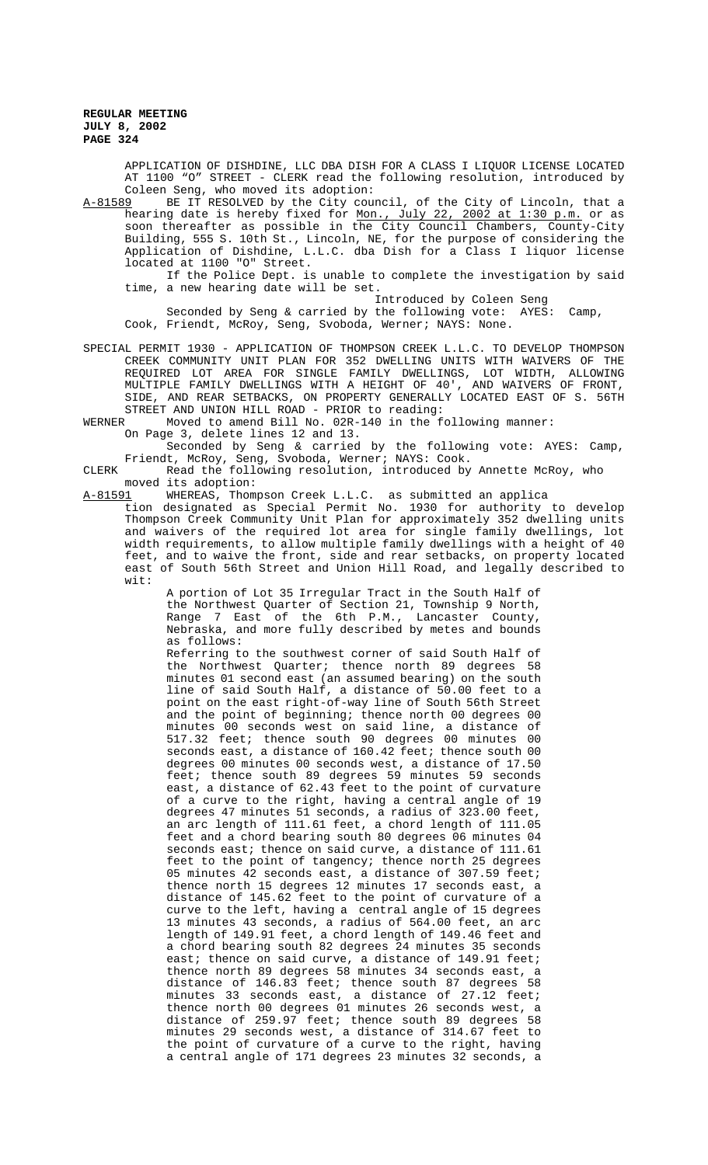APPLICATION OF DISHDINE, LLC DBA DISH FOR A CLASS I LIQUOR LICENSE LOCATED AT 1100 "O" STREET - CLERK read the following resolution, introduced by Coleen Seng, who moved its adoption:<br>A-81589 BE IT RESOLVED by the City cour

A-81589 BE IT RESOLVED by the City council, of the City of Lincoln, that a hearing date is hereby fixed for <u>Mon., July 22, 2002 at 1:30 p.m.</u> or as soon thereafter as possible in the City Council Chambers, County-City Building, 555 S. 10th St., Lincoln, NE, for the purpose of considering the Application of Dishdine, L.L.C. dba Dish for a Class I liquor license located at 1100 "O" Street.

If the Police Dept. is unable to complete the investigation by said time, a new hearing date will be set.

Introduced by Coleen Seng Seconded by Seng & carried by the following vote: AYES: Camp, Cook, Friendt, McRoy, Seng, Svoboda, Werner; NAYS: None.

SPECIAL PERMIT 1930 - APPLICATION OF THOMPSON CREEK L.L.C. TO DEVELOP THOMPSON CREEK COMMUNITY UNIT PLAN FOR 352 DWELLING UNITS WITH WAIVERS OF THE REQUIRED LOT AREA FOR SINGLE FAMILY DWELLINGS, LOT WIDTH, ALLOWING MULTIPLE FAMILY DWELLINGS WITH A HEIGHT OF 40', AND WAIVERS OF FRONT, SIDE, AND REAR SETBACKS, ON PROPERTY GENERALLY LOCATED EAST OF S. 56TH STREET AND UNION HILL ROAD - PRIOR to reading:<br>WERNER Moved to amend Bill No. 02R-140 in the f

Moved to amend Bill No. 02R-140 in the following manner:

On Page 3, delete lines 12 and 13.

Seconded by Seng & carried by the following vote: AYES: Camp, Friendt, McRoy, Seng, Svoboda, Werner; NAYS: Cook.

CLERK Read the following resolution, introduced by Annette McRoy, who moved its adoption:

A-81591 WHEREAS, Thompson Creek L.L.C. as submitted an applica

tion designated as Special Permit No. 1930 for authority to develop Thompson Creek Community Unit Plan for approximately 352 dwelling units and waivers of the required lot area for single family dwellings, lot width requirements, to allow multiple family dwellings with a height of 40 feet, and to waive the front, side and rear setbacks, on property located east of South 56th Street and Union Hill Road, and legally described to wit:

A portion of Lot 35 Irregular Tract in the South Half of the Northwest Quarter of Section 21, Township 9 North,<br>Range 7 East of the 6th P.M., Lancaster County, Range 7 East of the 6th P.M., Lancaster County, Nebraska, and more fully described by metes and bounds as follows:

Referring to the southwest corner of said South Half of the Northwest Quarter; thence north 89 degrees 58 minutes 01 second east (an assumed bearing) on the south line of said South Half, a distance of 50.00 feet to a point on the east right-of-way line of South 56th Street and the point of beginning; thence north 00 degrees 00 minutes 00 seconds west on said line, a distance of 517.32 feet; thence south 90 degrees 00 minutes 00 seconds east, a distance of 160.42 feet; thence south 00 degrees 00 minutes 00 seconds west, a distance of 17.50 feet; thence south 89 degrees 59 minutes 59 seconds east, a distance of 62.43 feet to the point of curvature of a curve to the right, having a central angle of 19 degrees 47 minutes 51 seconds, a radius of 323.00 feet, an arc length of 111.61 feet, a chord length of 111.05 feet and a chord bearing south 80 degrees 06 minutes 04 seconds east; thence on said curve, a distance of 111.61 feet to the point of tangency; thence north 25 degrees 05 minutes 42 seconds east, a distance of 307.59 feet; thence north 15 degrees 12 minutes 17 seconds east, a distance of 145.62 feet to the point of curvature of a curve to the left, having a central angle of 15 degrees 13 minutes 43 seconds, a radius of 564.00 feet, an arc length of 149.91 feet, a chord length of 149.46 feet and a chord bearing south 82 degrees 24 minutes 35 seconds east; thence on said curve, a distance of 149.91 feet; thence north 89 degrees 58 minutes 34 seconds east, a distance of 146.83 feet; thence south 87 degrees 58 minutes 33 seconds east, a distance of 27.12 feet; thence north 00 degrees 01 minutes 26 seconds west, a distance of 259.97 feet; thence south 89 degrees 58 minutes 29 seconds west, a distance of 314.67 feet to the point of curvature of a curve to the right, having a central angle of 171 degrees 23 minutes 32 seconds, a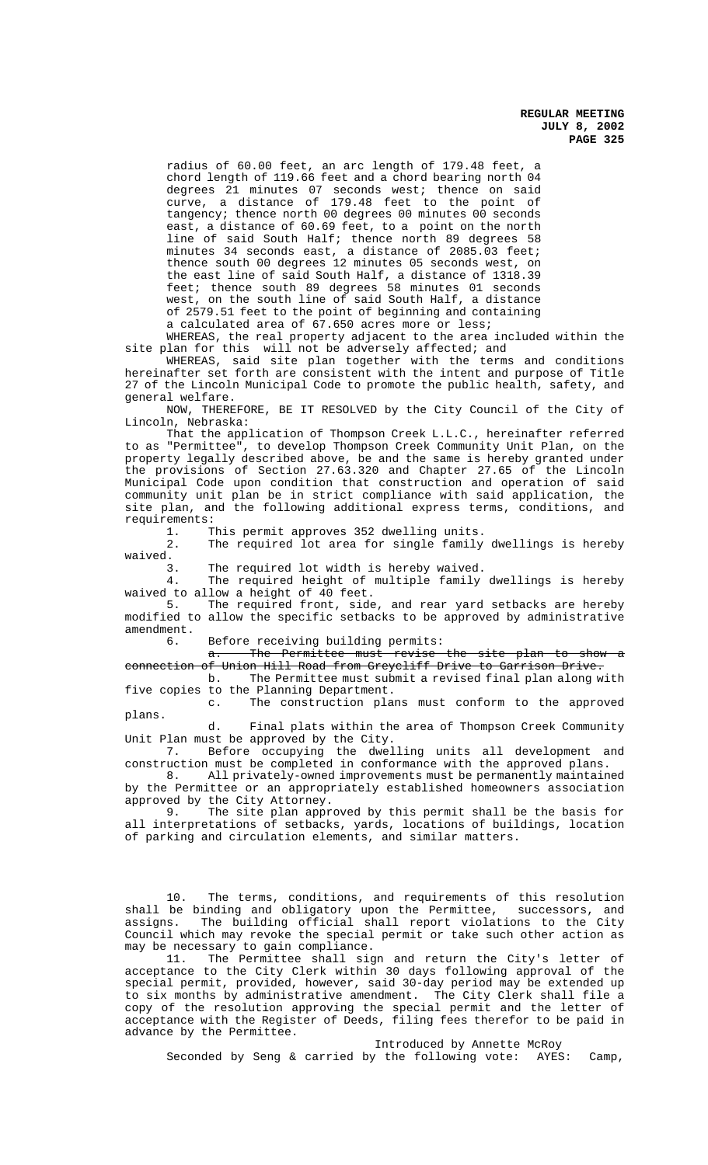radius of 60.00 feet, an arc length of 179.48 feet, a chord length of 119.66 feet and a chord bearing north 04 degrees  $21$  minutes 07 seconds west; thence on said curve, a distance of 179.48 feet to the point of tangency; thence north 00 degrees 00 minutes 00 seconds east, a distance of 60.69 feet, to a point on the north line of said South Half; thence north 89 degrees 58 minutes 34 seconds east, a distance of 2085.03 feet; thence south 00 degrees 12 minutes 05 seconds west, on the east line of said South Half, a distance of 1318.39 feet; thence south 89 degrees 58 minutes 01 seconds west, on the south line of said South Half, a distance of 2579.51 feet to the point of beginning and containing a calculated area of 67.650 acres more or less;

WHEREAS, the real property adjacent to the area included within the site plan for this will not be adversely affected; and

WHEREAS, said site plan together with the terms and conditions hereinafter set forth are consistent with the intent and purpose of Title 27 of the Lincoln Municipal Code to promote the public health, safety, and general welfare.

NOW, THEREFORE, BE IT RESOLVED by the City Council of the City of Lincoln, Nebraska:

That the application of Thompson Creek L.L.C., hereinafter referred to as "Permittee", to develop Thompson Creek Community Unit Plan, on the property legally described above, be and the same is hereby granted under the provisions of Section 27.63.320 and Chapter 27.65 of the Lincoln Municipal Code upon condition that construction and operation of said community unit plan be in strict compliance with said application, the site plan, and the following additional express terms, conditions, and requirements:

1. This permit approves 352 dwelling units.<br>2. The required lot area for single family The required lot area for single family dwellings is hereby waived.

3. The required lot width is hereby waived.

4. The required height of multiple family dwellings is hereby

waived to allow a height of 40 feet.<br>5. The required front, side The required front, side, and rear yard setbacks are hereby modified to allow the specific setbacks to be approved by administrative amendment.<br>6

Before receiving building permits:

a. The Permittee must revise the site plan to show connection of Union Hill Road from Greycliff Drive to Garrison Drive<br>b. The Permittee must submit a revised final plan along w

The Permittee must submit a revised final plan along with five copies to the Planning Department.

c. The construction plans must conform to the approved plans.

d. Final plats within the area of Thompson Creek Community Unit Plan must be approved by the City.

7. Before occupying the dwelling units all development and construction must be completed in conformance with the approved plans.

8. All privately-owned improvements must be permanently maintained by the Permittee or an appropriately established homeowners association approved by the City Attorney.

9. The site plan approved by this permit shall be the basis for all interpretations of setbacks, yards, locations of buildings, location of parking and circulation elements, and similar matters.

10. The terms, conditions, and requirements of this resolution shall be binding and obligatory upon the Permittee, successors, and assigns. The building official shall report violations to the City Council which may revoke the special permit or take such other action as may be necessary to gain compliance.

11. The Permittee shall sign and return the City's letter of acceptance to the City Clerk within 30 days following approval of the special permit, provided, however, said 30-day period may be extended up to six months by administrative amendment. The City Clerk shall file a copy of the resolution approving the special permit and the letter of acceptance with the Register of Deeds, filing fees therefor to be paid in advance by the Permittee.

Introduced by Annette McRoy

Seconded by Seng & carried by the following vote: AYES: Camp,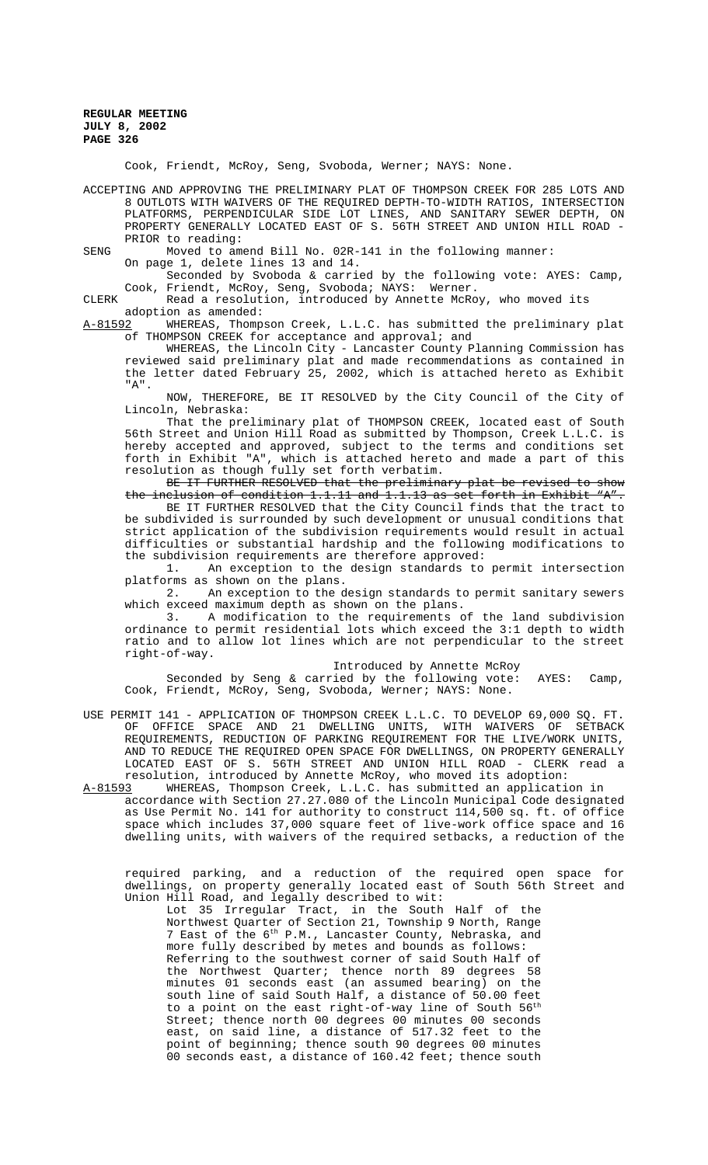Cook, Friendt, McRoy, Seng, Svoboda, Werner; NAYS: None.

ACCEPTING AND APPROVING THE PRELIMINARY PLAT OF THOMPSON CREEK FOR 285 LOTS AND 8 OUTLOTS WITH WAIVERS OF THE REQUIRED DEPTH-TO-WIDTH RATIOS, INTERSECTION PLATFORMS, PERPENDICULAR SIDE LOT LINES, AND SANITARY SEWER DEPTH, ON PROPERTY GENERALLY LOCATED EAST OF S. 56TH STREET AND UNION HILL ROAD - PRIOR to reading:

SENG Moved to amend Bill No. 02R-141 in the following manner: On page 1, delete lines 13 and 14.

Seconded by Svoboda & carried by the following vote: AYES: Camp, Cook, Friendt, McRoy, Seng, Svoboda; NAYS: Werner.

CLERK Read a resolution, introduced by Annette McRoy, who moved its

adoption as amended:<br>A-81592 WHEREAS, Thomp WHEREAS, Thompson Creek, L.L.C. has submitted the preliminary plat of THOMPSON CREEK for acceptance and approval; and

WHEREAS, the Lincoln City - Lancaster County Planning Commission has reviewed said preliminary plat and made recommendations as contained in the letter dated February 25, 2002, which is attached hereto as Exhibit "A".

NOW, THEREFORE, BE IT RESOLVED by the City Council of the City of Lincoln, Nebraska:

That the preliminary plat of THOMPSON CREEK, located east of South 56th Street and Union Hill Road as submitted by Thompson, Creek L.L.C. is hereby accepted and approved, subject to the terms and conditions set forth in Exhibit "A", which is attached hereto and made a part of this resolution as though fully set forth verbatim.

# BE IT FURTHER RESOLVED that the preliminary plat be revised to show<br>nelusion of condition 1.1.11 and 1.1.13 as set forth in Exhibit "A". the inclusion of condition 1.1.11 and 1.1.13 as set forth in Exhibit "A".

BE IT FURTHER RESOLVED that the City Council finds that the tract to be subdivided is surrounded by such development or unusual conditions that strict application of the subdivision requirements would result in actual difficulties or substantial hardship and the following modifications to the subdivision requirements are therefore approved:

1. An exception to the design standards to permit intersection platforms as shown on the plans.<br>2. An exception to the d

An exception to the design standards to permit sanitary sewers which exceed maximum depth as shown on the plans.

3. A modification to the requirements of the land subdivision ordinance to permit residential lots which exceed the 3:1 depth to width ratio and to allow lot lines which are not perpendicular to the street right-of-way.

## Introduced by Annette McRoy

Seconded by Seng & carried by the following vote: AYES: Camp, Cook, Friendt, McRoy, Seng, Svoboda, Werner; NAYS: None.

- USE PERMIT 141 APPLICATION OF THOMPSON CREEK L.L.C. TO DEVELOP 69,000 SQ. FT. OF OFFICE SPACE AND 21 DWELLING UNITS, WITH WAIVERS OF SETBACK REQUIREMENTS, REDUCTION OF PARKING REQUIREMENT FOR THE LIVE/WORK UNITS, AND TO REDUCE THE REQUIRED OPEN SPACE FOR DWELLINGS, ON PROPERTY GENERALLY LOCATED EAST OF S. 56TH STREET AND UNION HILL ROAD - CLERK read a resolution, introduced by Annette McRoy, who moved its adoption:<br>A-81593 WHEREAS. Thompson Creek. L.L.C. has submitted an applicati
- WHEREAS, Thompson Creek, L.L.C. has submitted an application in accordance with Section 27.27.080 of the Lincoln Municipal Code designated as Use Permit No. 141 for authority to construct 114,500 sq. ft. of office space which includes 37,000 square feet of live-work office space and 16 dwelling units, with waivers of the required setbacks, a reduction of the

required parking, and a reduction of the required open space for dwellings, on property generally located east of South 56th Street and Union Hill Road, and legally described to wit:

Lot 35 Irregular Tract, in the South Half of the Northwest Quarter of Section 21, Township 9 North, Range 7 East of the 6<sup>th</sup> P.M., Lancaster County, Nebraska, and more fully described by metes and bounds as follows: Referring to the southwest corner of said South Half of the Northwest Quarter; thence north 89 degrees 58 minutes 01 seconds east (an assumed bearing) on the south line of said South Half, a distance of 50.00 feet to a point on the east right-of-way line of South 56<sup>th</sup> Street; thence north 00 degrees 00 minutes 00 seconds east, on said line, a distance of 517.32 feet to the point of beginning; thence south 90 degrees 00 minutes 00 seconds east, a distance of 160.42 feet; thence south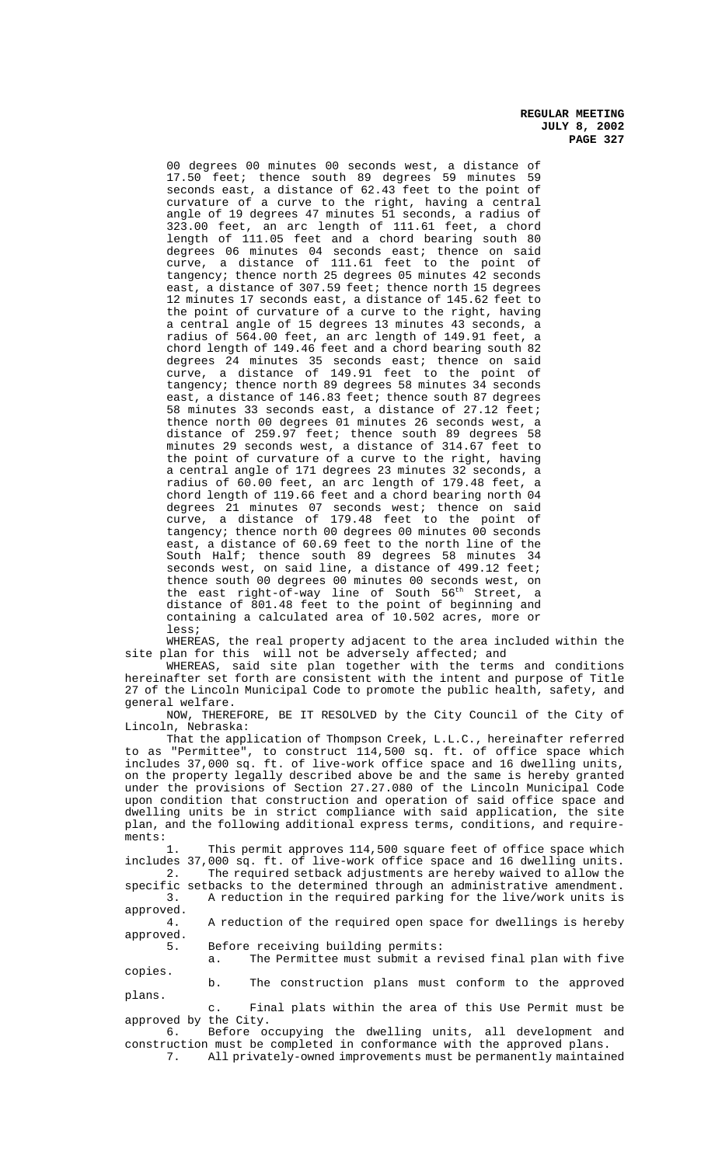00 degrees 00 minutes 00 seconds west, a distance of 17.50 feet; thence south 89 degrees 59 minutes 59 seconds east, a distance of 62.43 feet to the point of curvature of a curve to the right, having a central angle of 19 degrees 47 minutes 51 seconds, a radius of 323.00 feet, an arc length of 111.61 feet, a chord length of 111.05 feet and a chord bearing south 80 degrees 06 minutes 04 seconds east; thence on said curve, a distance of 111.61 feet to the point of tangency; thence north 25 degrees 05 minutes 42 seconds east, a distance of 307.59 feet; thence north 15 degrees 12 minutes 17 seconds east, a distance of 145.62 feet to the point of curvature of a curve to the right, having a central angle of 15 degrees 13 minutes 43 seconds, a radius of 564.00 feet, an arc length of 149.91 feet, a chord length of 149.46 feet and a chord bearing south 82 degrees 24 minutes 35 seconds east; thence on said curve, a distance of 149.91 feet to the point of tangency; thence north 89 degrees 58 minutes 34 seconds east, a distance of 146.83 feet; thence south 87 degrees 58 minutes 33 seconds east, a distance of 27.12 feet; thence north 00 degrees 01 minutes 26 seconds west, a distance of 259.97 feet; thence south 89 degrees 58 minutes 29 seconds west, a distance of 314.67 feet to the point of curvature of a curve to the right, having a central angle of 171 degrees 23 minutes 32 seconds, a radius of 60.00 feet, an arc length of 179.48 feet, a chord length of 119.66 feet and a chord bearing north 04 degrees 21 minutes 07 seconds west; thence on said curve, a distance of 179.48 feet to the point of tangency; thence north 00 degrees 00 minutes 00 seconds east, a distance of 60.69 feet to the north line of the South Half; thence south 89 degrees 58 minutes 34 seconds west, on said line, a distance of 499.12 feet; thence south 00 degrees 00 minutes 00 seconds west, on the east right-of-way line of South 56th Street, a distance of 801.48 feet to the point of beginning and containing a calculated area of 10.502 acres, more or less;

WHEREAS, the real property adjacent to the area included within the site plan for this will not be adversely affected; and

WHEREAS, said site plan together with the terms and conditions hereinafter set forth are consistent with the intent and purpose of Title 27 of the Lincoln Municipal Code to promote the public health, safety, and general welfare.

NOW, THEREFORE, BE IT RESOLVED by the City Council of the City of Lincoln, Nebraska:

That the application of Thompson Creek, L.L.C., hereinafter referred to as "Permittee", to construct 114,500 sq. ft. of office space which includes 37,000 sq. ft. of live-work office space and 16 dwelling units, on the property legally described above be and the same is hereby granted under the provisions of Section 27.27.080 of the Lincoln Municipal Code upon condition that construction and operation of said office space and dwelling units be in strict compliance with said application, the site plan, and the following additional express terms, conditions, and require-

ments:<br>1. This permit approves 114,500 square feet of office space which includes 37,000 sq. ft. of live-work office space and 16 dwelling units. The required setback adjustments are hereby waived to allow the

specific setbacks to the determined through an administrative amendment. 3. A reduction in the required parking for the live/work units is approved.

4. A reduction of the required open space for dwellings is hereby approved.

5. Before receiving building permits:

a. The Permittee must submit a revised final plan with five copies.

b. The construction plans must conform to the approved plans.

c. Final plats within the area of this Use Permit must be approved by the City.

6. Before occupying the dwelling units, all development and construction must be completed in conformance with the approved plans. 7. All privately-owned improvements must be permanently maintained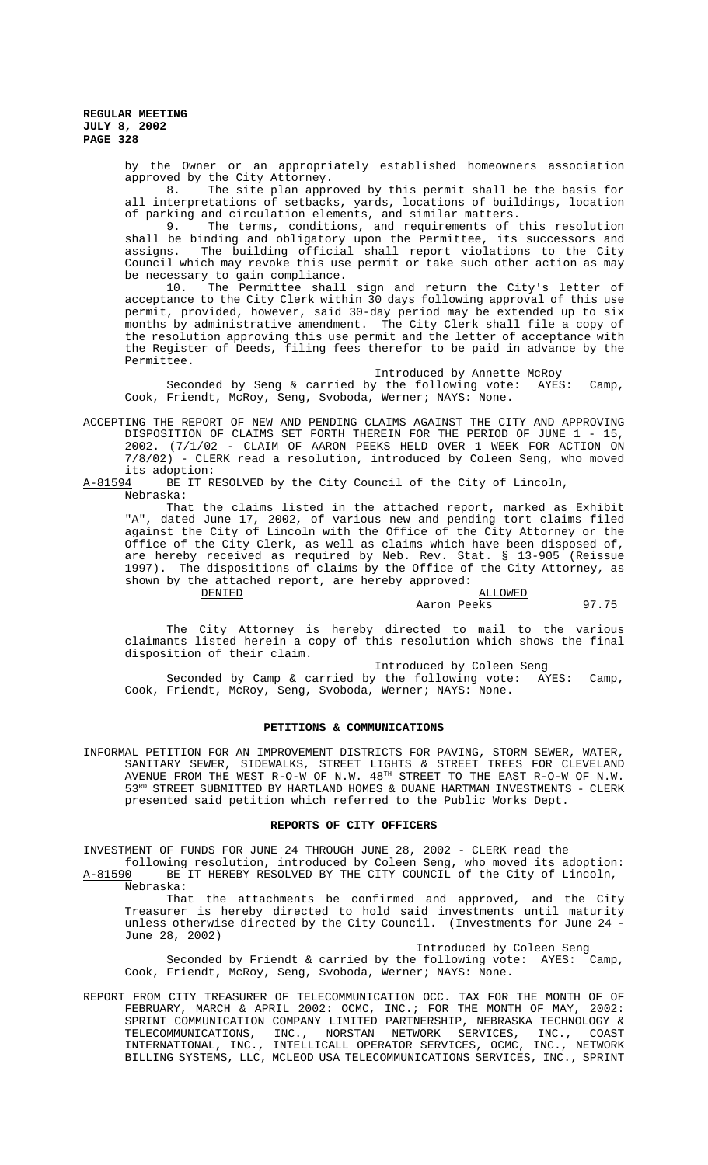> by the Owner or an appropriately established homeowners association approved by the City Attorney.

> 8. The site plan approved by this permit shall be the basis for all interpretations of setbacks, yards, locations of buildings, location of parking and circulation elements, and similar matters.

> 9. The terms, conditions, and requirements of this resolution shall be binding and obligatory upon the Permittee, its successors and assigns. The building official shall report violations to the City Council which may revoke this use permit or take such other action as may be necessary to gain compliance.<br>10. The Permittee shall

> The Permittee shall sign and return the City's letter of acceptance to the City Clerk within 30 days following approval of this use permit, provided, however, said 30-day period may be extended up to six months by administrative amendment. The City Clerk shall file a copy of the resolution approving this use permit and the letter of acceptance with the Register of Deeds, filing fees therefor to be paid in advance by the Permittee.

> Introduced by Annette McRoy Seconded by Seng & carried by the following vote: AYES: Camp, Cook, Friendt, McRoy, Seng, Svoboda, Werner; NAYS: None.

ACCEPTING THE REPORT OF NEW AND PENDING CLAIMS AGAINST THE CITY AND APPROVING DISPOSITION OF CLAIMS SET FORTH THEREIN FOR THE PERIOD OF JUNE 1 - 15, 2002. (7/1/02 - CLAIM OF AARON PEEKS HELD OVER 1 WEEK FOR ACTION ON 7/8/02) - CLERK read a resolution, introduced by Coleen Seng, who moved its adoption:<br>A-81594 BE IT R

BE IT RESOLVED by the City Council of the City of Lincoln, Nebraska:

That the claims listed in the attached report, marked as Exhibit "A", dated June 17, 2002, of various new and pending tort claims filed against the City of Lincoln with the Office of the City Attorney or the Office of the City Clerk, as well as claims which have been disposed of, are hereby received as required by <u>Neb. Rev. Stat.</u> § 13-905 (Reissue 1997). The dispositions of claims by the Office of the City Attorney, as shown by the attached report, are hereby approved:<br>DENIED

**ALLOWED** Aaron Peeks 97.75

The City Attorney is hereby directed to mail to the various claimants listed herein a copy of this resolution which shows the final disposition of their claim.

Introduced by Coleen Seng

Seconded by Camp & carried by the following vote: AYES: Camp, Cook, Friendt, McRoy, Seng, Svoboda, Werner; NAYS: None.

### **PETITIONS & COMMUNICATIONS**

INFORMAL PETITION FOR AN IMPROVEMENT DISTRICTS FOR PAVING, STORM SEWER, WATER, SANITARY SEWER, SIDEWALKS, STREET LIGHTS & STREET TREES FOR CLEVELAND AVENUE FROM THE WEST R-O-W OF N.W.  $48^{\text{TH}}$  STREET TO THE EAST R-O-W OF N.W. 53RD STREET SUBMITTED BY HARTLAND HOMES & DUANE HARTMAN INVESTMENTS - CLERK presented said petition which referred to the Public Works Dept.

### **REPORTS OF CITY OFFICERS**

INVESTMENT OF FUNDS FOR JUNE 24 THROUGH JUNE 28, 2002 - CLERK read the following resolution, introduced by Coleen Seng, who moved its adoption:

A-81590 BE IT HEREBY RESOLVED BY THE CITY COUNCIL of the City of Lincoln, Nebraska:

That the attachments be confirmed and approved, and the City Treasurer is hereby directed to hold said investments until maturity unless otherwise directed by the City Council. (Investments for June 24 June 28, 2002)

Introduced by Coleen Seng

Seconded by Friendt & carried by the following vote: AYES: Camp, Cook, Friendt, McRoy, Seng, Svoboda, Werner; NAYS: None.

REPORT FROM CITY TREASURER OF TELECOMMUNICATION OCC. TAX FOR THE MONTH OF OF FEBRUARY, MARCH & APRIL 2002: OCMC, INC.; FOR THE MONTH OF MAY, 2002: SPRINT COMMUNICATION COMPANY LIMITED PARTNERSHIP, NEBRASKA TECHNOLOGY & TELECOMMUNICATIONS, INC., NORSTAN NETWORK SERVICES, INC., COAST INTERNATIONAL, INC., INTELLICALL OPERATOR SERVICES, OCMC, INC., NETWORK BILLING SYSTEMS, LLC, MCLEOD USA TELECOMMUNICATIONS SERVICES, INC., SPRINT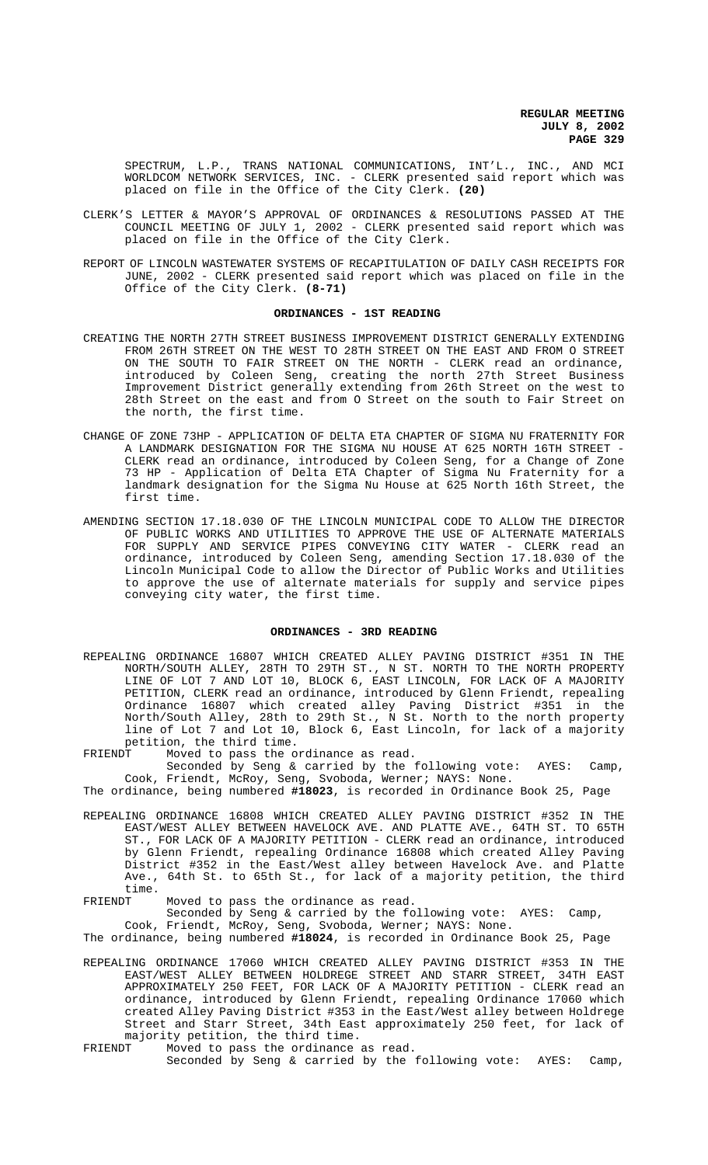SPECTRUM, L.P., TRANS NATIONAL COMMUNICATIONS, INT'L., INC., AND MCI WORLDCOM NETWORK SERVICES, INC. - CLERK presented said report which was placed on file in the Office of the City Clerk. **(20)**

- CLERK'S LETTER & MAYOR'S APPROVAL OF ORDINANCES & RESOLUTIONS PASSED AT THE COUNCIL MEETING OF JULY 1, 2002 - CLERK presented said report which was placed on file in the Office of the City Clerk.
- REPORT OF LINCOLN WASTEWATER SYSTEMS OF RECAPITULATION OF DAILY CASH RECEIPTS FOR JUNE, 2002 - CLERK presented said report which was placed on file in the Office of the City Clerk. **(8-71)**

### **ORDINANCES - 1ST READING**

- CREATING THE NORTH 27TH STREET BUSINESS IMPROVEMENT DISTRICT GENERALLY EXTENDING FROM 26TH STREET ON THE WEST TO 28TH STREET ON THE EAST AND FROM O STREET ON THE SOUTH TO FAIR STREET ON THE NORTH - CLERK read an ordinance, introduced by Coleen Seng, creating the north 27th Street Business Improvement District generally extending from 26th Street on the west to 28th Street on the east and from O Street on the south to Fair Street on the north, the first time.
- CHANGE OF ZONE 73HP APPLICATION OF DELTA ETA CHAPTER OF SIGMA NU FRATERNITY FOR A LANDMARK DESIGNATION FOR THE SIGMA NU HOUSE AT 625 NORTH 16TH STREET - CLERK read an ordinance, introduced by Coleen Seng, for a Change of Zone 73 HP - Application of Delta ETA Chapter of Sigma Nu Fraternity for a landmark designation for the Sigma Nu House at 625 North 16th Street, the first time.
- AMENDING SECTION 17.18.030 OF THE LINCOLN MUNICIPAL CODE TO ALLOW THE DIRECTOR OF PUBLIC WORKS AND UTILITIES TO APPROVE THE USE OF ALTERNATE MATERIALS FOR SUPPLY AND SERVICE PIPES CONVEYING CITY WATER - CLERK read an ordinance, introduced by Coleen Seng, amending Section 17.18.030 of the Lincoln Municipal Code to allow the Director of Public Works and Utilities to approve the use of alternate materials for supply and service pipes conveying city water, the first time.

### **ORDINANCES - 3RD READING**

- REPEALING ORDINANCE 16807 WHICH CREATED ALLEY PAVING DISTRICT #351 IN THE NORTH/SOUTH ALLEY, 28TH TO 29TH ST., N ST. NORTH TO THE NORTH PROPERTY LINE OF LOT 7 AND LOT 10, BLOCK 6, EAST LINCOLN, FOR LACK OF A MAJORITY PETITION, CLERK read an ordinance, introduced by Glenn Friendt, repealing Ordinance 16807 which created alley Paving District #351 in the North/South Alley, 28th to 29th St., N St. North to the north property line of Lot 7 and Lot 10, Block 6, East Lincoln, for lack of a majority petition, the third time.<br>FRIENDT Moved to pass the o
- Moved to pass the ordinance as read.
- Seconded by Seng & carried by the following vote: AYES: Camp, Cook, Friendt, McRoy, Seng, Svoboda, Werner; NAYS: None.

The ordinance, being numbered **#18023**, is recorded in Ordinance Book 25, Page

- REPEALING ORDINANCE 16808 WHICH CREATED ALLEY PAVING DISTRICT #352 IN THE EAST/WEST ALLEY BETWEEN HAVELOCK AVE. AND PLATTE AVE., 64TH ST. TO 65TH ST., FOR LACK OF A MAJORITY PETITION - CLERK read an ordinance, introduced by Glenn Friendt, repealing Ordinance 16808 which created Alley Paving District #352 in the East/West alley between Havelock Ave. and Platte Ave., 64th St. to 65th St., for lack of a majority petition, the third time.<br>FRIENDT
- Moved to pass the ordinance as read. Seconded by Seng & carried by the following vote: AYES: Camp,

Cook, Friendt, McRoy, Seng, Svoboda, Werner; NAYS: None. The ordinance, being numbered **#18024**, is recorded in Ordinance Book 25, Page

- REPEALING ORDINANCE 17060 WHICH CREATED ALLEY PAVING DISTRICT #353 IN THE EAST/WEST ALLEY BETWEEN HOLDREGE STREET AND STARR STREET, 34TH EAST APPROXIMATELY 250 FEET, FOR LACK OF A MAJORITY PETITION - CLERK read an ordinance, introduced by Glenn Friendt, repealing Ordinance 17060 which created Alley Paving District #353 in the East/West alley between Holdrege Street and Starr Street, 34th East approximately 250 feet, for lack of majority petition, the third time.<br>FRIENDT Moved to pass the ordinance
- Moved to pass the ordinance as read. Seconded by Seng & carried by the following vote: AYES: Camp,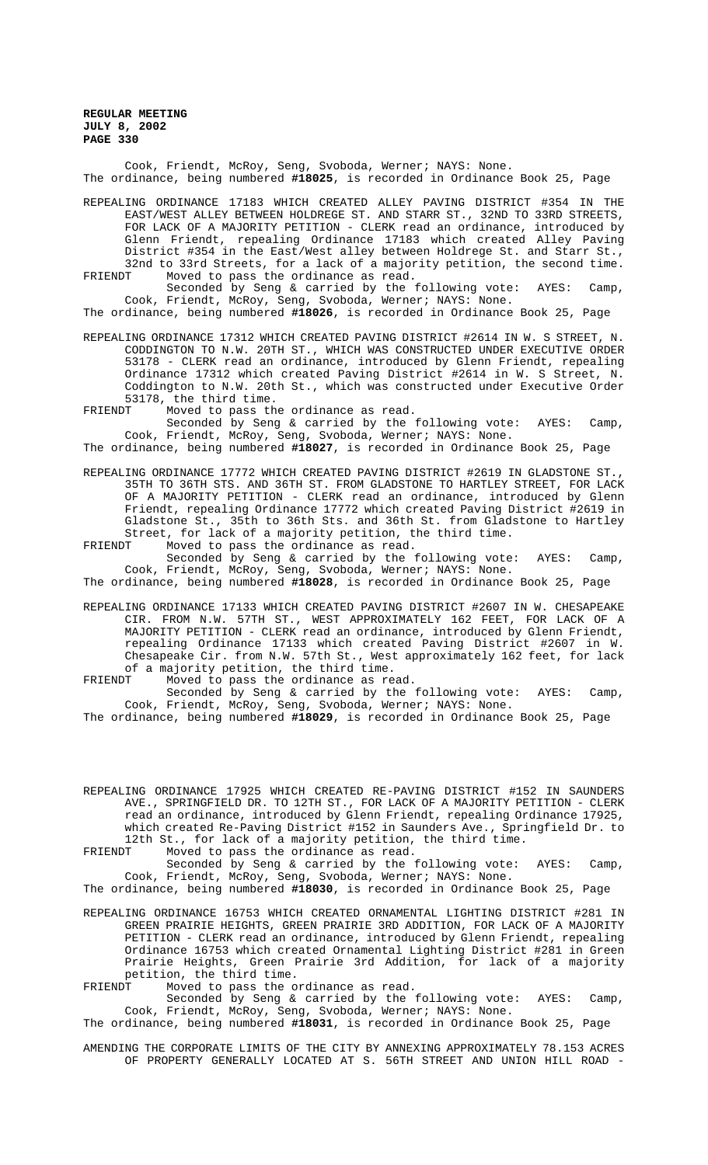Cook, Friendt, McRoy, Seng, Svoboda, Werner; NAYS: None. The ordinance, being numbered **#18025**, is recorded in Ordinance Book 25, Page

REPEALING ORDINANCE 17183 WHICH CREATED ALLEY PAVING DISTRICT #354 IN THE EAST/WEST ALLEY BETWEEN HOLDREGE ST. AND STARR ST., 32ND TO 33RD STREETS, FOR LACK OF A MAJORITY PETITION - CLERK read an ordinance, introduced by Glenn Friendt, repealing Ordinance 17183 which created Alley Paving District #354 in the East/West alley between Holdrege St. and Starr St., 32nd to 33rd Streets, for a lack of a majority petition, the second time. FRIENDT Moved to pass the ordinance as read.

Seconded by Seng & carried by the following vote: AYES: Camp, Cook, Friendt, McRoy, Seng, Svoboda, Werner; NAYS: None.

The ordinance, being numbered **#18026**, is recorded in Ordinance Book 25, Page

- REPEALING ORDINANCE 17312 WHICH CREATED PAVING DISTRICT #2614 IN W. S STREET, N. CODDINGTON TO N.W. 20TH ST., WHICH WAS CONSTRUCTED UNDER EXECUTIVE ORDER 53178 - CLERK read an ordinance, introduced by Glenn Friendt, repealing Ordinance 17312 which created Paving District #2614 in W. S Street, N. Coddington to N.W. 20th St., which was constructed under Executive Order 53178, the third time.<br>FRIENDT Moved to pass th
- Moved to pass the ordinance as read.

Seconded by Seng & carried by the following vote: AYES: Camp, Cook, Friendt, McRoy, Seng, Svoboda, Werner; NAYS: None.

The ordinance, being numbered **#18027**, is recorded in Ordinance Book 25, Page

REPEALING ORDINANCE 17772 WHICH CREATED PAVING DISTRICT #2619 IN GLADSTONE ST., 35TH TO 36TH STS. AND 36TH ST. FROM GLADSTONE TO HARTLEY STREET, FOR LACK OF A MAJORITY PETITION - CLERK read an ordinance, introduced by Glenn Friendt, repealing Ordinance 17772 which created Paving District #2619 in Gladstone St., 35th to 36th Sts. and 36th St. from Gladstone to Hartley Street, for lack of a majority petition, the third time.

FRIENDT Moved to pass the ordinance as read.

Seconded by Seng & carried by the following vote: AYES: Camp, Cook, Friendt, McRoy, Seng, Svoboda, Werner; NAYS: None.

The ordinance, being numbered **#18028**, is recorded in Ordinance Book 25, Page

- REPEALING ORDINANCE 17133 WHICH CREATED PAVING DISTRICT #2607 IN W. CHESAPEAKE CIR. FROM N.W. 57TH ST., WEST APPROXIMATELY 162 FEET, FOR LACK OF A MAJORITY PETITION - CLERK read an ordinance, introduced by Glenn Friendt, repealing Ordinance 17133 which created Paving District #2607 in W. Chesapeake Cir. from N.W. 57th St., West approximately 162 feet, for lack of a majority petition, the third time.
- FRIENDT Moved to pass the ordinance as read. Seconded by Seng & carried by the following vote: AYES: Camp, Cook, Friendt, McRoy, Seng, Svoboda, Werner; NAYS: None.

The ordinance, being numbered **#18029**, is recorded in Ordinance Book 25, Page

REPEALING ORDINANCE 17925 WHICH CREATED RE-PAVING DISTRICT #152 IN SAUNDERS AVE., SPRINGFIELD DR. TO 12TH ST., FOR LACK OF A MAJORITY PETITION - CLERK read an ordinance, introduced by Glenn Friendt, repealing Ordinance 17925, which created Re-Paving District #152 in Saunders Ave., Springfield Dr. to 12th St., for lack of a majority petition, the third time.

FRIENDT Moved to pass the ordinance as read.

Seconded by Seng & carried by the following vote: AYES: Camp, Cook, Friendt, McRoy, Seng, Svoboda, Werner; NAYS: None.

The ordinance, being numbered **#18030**, is recorded in Ordinance Book 25, Page

REPEALING ORDINANCE 16753 WHICH CREATED ORNAMENTAL LIGHTING DISTRICT #281 IN GREEN PRAIRIE HEIGHTS, GREEN PRAIRIE 3RD ADDITION, FOR LACK OF A MAJORITY PETITION - CLERK read an ordinance, introduced by Glenn Friendt, repealing Ordinance 16753 which created Ornamental Lighting District #281 in Green Prairie Heights, Green Prairie 3rd Addition, for lack of a majority petition, the third time.

FRIENDT Moved to pass the ordinance as read.

Seconded by Seng & carried by the following vote: AYES: Camp, Cook, Friendt, McRoy, Seng, Svoboda, Werner; NAYS: None.

The ordinance, being numbered **#18031**, is recorded in Ordinance Book 25, Page

AMENDING THE CORPORATE LIMITS OF THE CITY BY ANNEXING APPROXIMATELY 78.153 ACRES OF PROPERTY GENERALLY LOCATED AT S. 56TH STREET AND UNION HILL ROAD -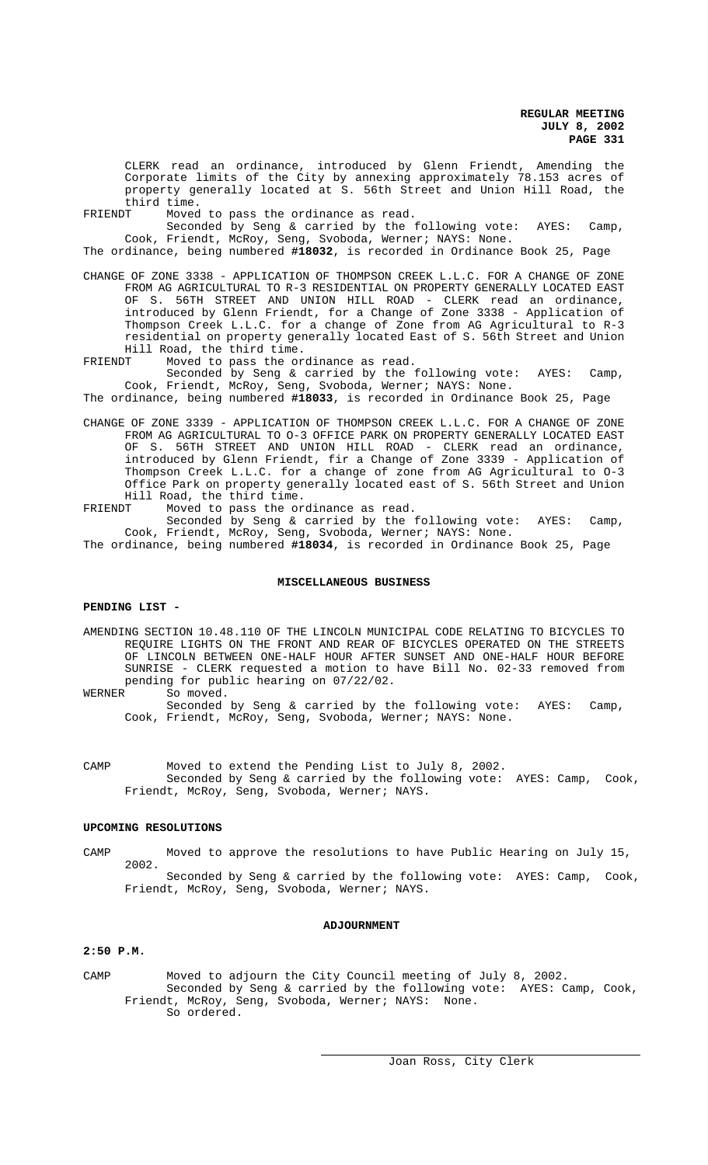CLERK read an ordinance, introduced by Glenn Friendt, Amending the Corporate limits of the City by annexing approximately 78.153 acres of property generally located at S. 56th Street and Union Hill Road, the third time.<br>FRIENDT Moved

Moved to pass the ordinance as read.

Seconded by Seng & carried by the following vote: AYES: Camp, Cook, Friendt, McRoy, Seng, Svoboda, Werner; NAYS: None.

The ordinance, being numbered **#18032**, is recorded in Ordinance Book 25, Page

- CHANGE OF ZONE 3338 APPLICATION OF THOMPSON CREEK L.L.C. FOR A CHANGE OF ZONE FROM AG AGRICULTURAL TO R-3 RESIDENTIAL ON PROPERTY GENERALLY LOCATED EAST OF S. 56TH STREET AND UNION HILL ROAD - CLERK read an ordinance, introduced by Glenn Friendt, for a Change of Zone 3338 - Application of Thompson Creek L.L.C. for a change of Zone from AG Agricultural to R-3 residential on property generally located East of S. 56th Street and Union Hill Road, the third time.<br>FRIENDT Moved to pass the or
- Moved to pass the ordinance as read.

Seconded by Seng & carried by the following vote: AYES: Camp, Cook, Friendt, McRoy, Seng, Svoboda, Werner; NAYS: None.

The ordinance, being numbered **#18033**, is recorded in Ordinance Book 25, Page

- CHANGE OF ZONE 3339 APPLICATION OF THOMPSON CREEK L.L.C. FOR A CHANGE OF ZONE FROM AG AGRICULTURAL TO O-3 OFFICE PARK ON PROPERTY GENERALLY LOCATED EAST OF S. 56TH STREET AND UNION HILL ROAD - CLERK read an ordinance, introduced by Glenn Friendt, fir a Change of Zone 3339 - Application of Thompson Creek L.L.C. for a change of zone from AG Agricultural to O-3 Office Park on property generally located east of S. 56th Street and Union Hill Road, the third time.
- FRIENDT Moved to pass the ordinance as read. Seconded by Seng & carried by the following vote: AYES: Camp, Cook, Friendt, McRoy, Seng, Svoboda, Werner; NAYS: None.

The ordinance, being numbered **#18034**, is recorded in Ordinance Book 25, Page

## **MISCELLANEOUS BUSINESS**

### **PENDING LIST -**

AMENDING SECTION 10.48.110 OF THE LINCOLN MUNICIPAL CODE RELATING TO BICYCLES TO REQUIRE LIGHTS ON THE FRONT AND REAR OF BICYCLES OPERATED ON THE STREETS OF LINCOLN BETWEEN ONE-HALF HOUR AFTER SUNSET AND ONE-HALF HOUR BEFORE SUNRISE - CLERK requested a motion to have Bill No. 02-33 removed from pending for public hearing on  $07/22/02$ .<br>WERNER So moved.

So moved.

Seconded by Seng & carried by the following vote: AYES: Camp, Cook, Friendt, McRoy, Seng, Svoboda, Werner; NAYS: None.

CAMP Moved to extend the Pending List to July 8, 2002. Seconded by Seng & carried by the following vote: AYES: Camp, Cook, Friendt, McRoy, Seng, Svoboda, Werner; NAYS.

### **UPCOMING RESOLUTIONS**

CAMP Moved to approve the resolutions to have Public Hearing on July 15, 2002.

Seconded by Seng & carried by the following vote: AYES: Camp, Cook, Friendt, McRoy, Seng, Svoboda, Werner; NAYS.

## **ADJOURNMENT**

### **2:50 P.M.**

CAMP Moved to adjourn the City Council meeting of July 8, 2002. Seconded by Seng & carried by the following vote: AYES: Camp, Cook, Friendt, McRoy, Seng, Svoboda, Werner; NAYS: None. So ordered.

i.